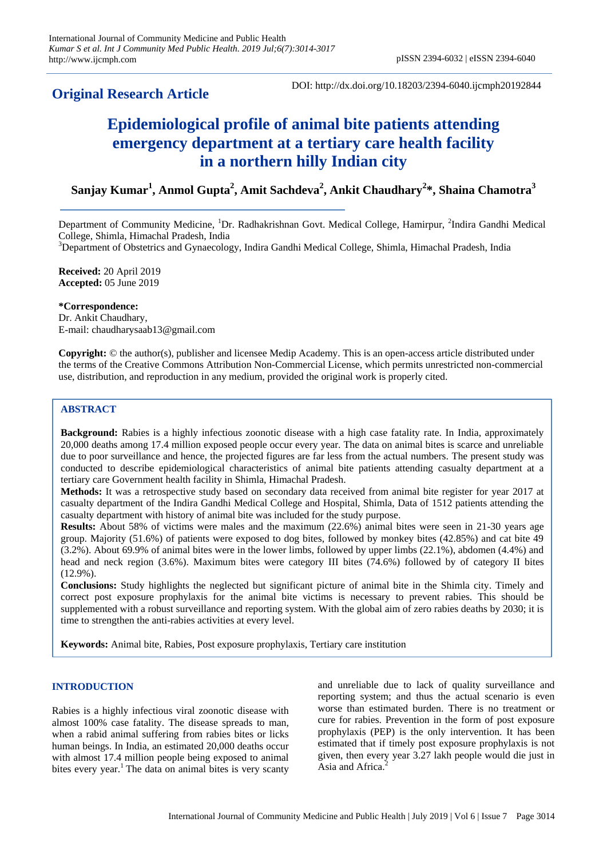# **Original Research Article**

DOI: http://dx.doi.org/10.18203/2394-6040.ijcmph20192844

# **Epidemiological profile of animal bite patients attending emergency department at a tertiary care health facility in a northern hilly Indian city**

**Sanjay Kumar<sup>1</sup> , Anmol Gupta<sup>2</sup> , Amit Sachdeva<sup>2</sup> , Ankit Chaudhary<sup>2</sup> \*, Shaina Chamotra<sup>3</sup>**

Department of Community Medicine, <sup>1</sup>Dr. Radhakrishnan Govt. Medical College, Hamirpur, <sup>2</sup>Indira Gandhi Medical College, Shimla, Himachal Pradesh, India

<sup>3</sup>Department of Obstetrics and Gynaecology, Indira Gandhi Medical College, Shimla, Himachal Pradesh, India

**Received:** 20 April 2019 **Accepted:** 05 June 2019

**\*Correspondence:**

Dr. Ankit Chaudhary, E-mail: chaudharysaab13@gmail.com

**Copyright:** © the author(s), publisher and licensee Medip Academy. This is an open-access article distributed under the terms of the Creative Commons Attribution Non-Commercial License, which permits unrestricted non-commercial use, distribution, and reproduction in any medium, provided the original work is properly cited.

# **ABSTRACT**

**Background:** Rabies is a highly infectious zoonotic disease with a high case fatality rate. In India, approximately 20,000 deaths among 17.4 million exposed people occur every year. The data on animal bites is scarce and unreliable due to poor surveillance and hence, the projected figures are far less from the actual numbers. The present study was conducted to describe epidemiological characteristics of animal bite patients attending casualty department at a tertiary care Government health facility in Shimla, Himachal Pradesh.

**Methods:** It was a retrospective study based on secondary data received from animal bite register for year 2017 at casualty department of the Indira Gandhi Medical College and Hospital, Shimla, Data of 1512 patients attending the casualty department with history of animal bite was included for the study purpose.

**Results:** About 58% of victims were males and the maximum (22.6%) animal bites were seen in 21-30 years age group. Majority (51.6%) of patients were exposed to dog bites, followed by monkey bites (42.85%) and cat bite 49 (3.2%). About 69.9% of animal bites were in the lower limbs, followed by upper limbs (22.1%), abdomen (4.4%) and head and neck region (3.6%). Maximum bites were category III bites (74.6%) followed by of category II bites (12.9%).

**Conclusions:** Study highlights the neglected but significant picture of animal bite in the Shimla city. Timely and correct post exposure prophylaxis for the animal bite victims is necessary to prevent rabies. This should be supplemented with a robust surveillance and reporting system. With the global aim of zero rabies deaths by 2030; it is time to strengthen the anti-rabies activities at every level.

**Keywords:** Animal bite, Rabies, Post exposure prophylaxis, Tertiary care institution

# **INTRODUCTION**

Rabies is a highly infectious viral zoonotic disease with almost 100% case fatality. The disease spreads to man, when a rabid animal suffering from rabies bites or licks human beings. In India, an estimated 20,000 deaths occur with almost 17.4 million people being exposed to animal bites every year.<sup>1</sup> The data on animal bites is very scanty and unreliable due to lack of quality surveillance and reporting system; and thus the actual scenario is even worse than estimated burden. There is no treatment or cure for rabies. Prevention in the form of post exposure prophylaxis (PEP) is the only intervention. It has been estimated that if timely post exposure prophylaxis is not given, then every year 3.27 lakh people would die just in Asia and Africa.<sup>2</sup>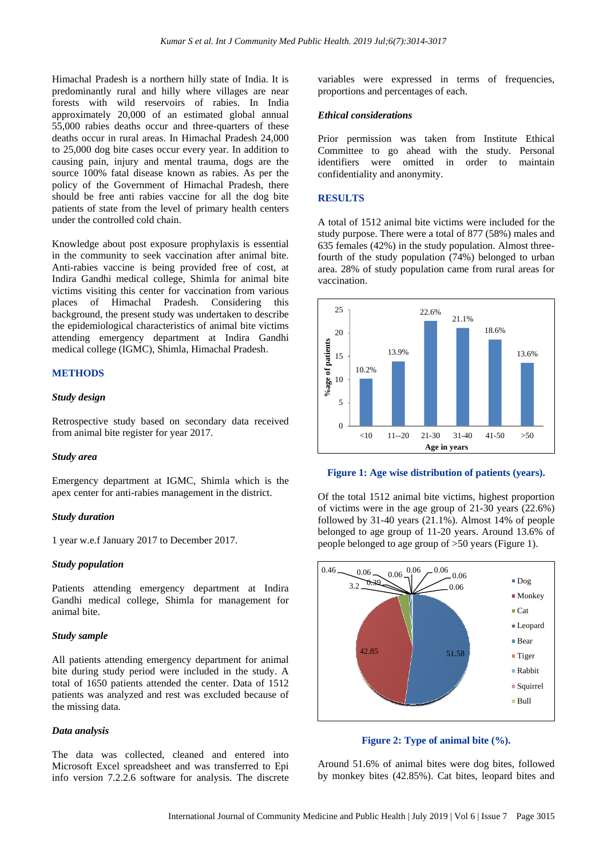Himachal Pradesh is a northern hilly state of India. It is predominantly rural and hilly where villages are near forests with wild reservoirs of rabies. In India approximately 20,000 of an estimated global annual 55,000 rabies deaths occur and three-quarters of these deaths occur in rural areas. In Himachal Pradesh 24,000 to 25,000 dog bite cases occur every year. In addition to causing pain, injury and mental trauma, dogs are the source 100% fatal disease known as rabies. As per the policy of the Government of Himachal Pradesh, there should be free anti rabies vaccine for all the dog bite patients of state from the level of primary health centers under the controlled cold chain.

Knowledge about post exposure prophylaxis is essential in the community to seek vaccination after animal bite. Anti-rabies vaccine is being provided free of cost, at Indira Gandhi medical college, Shimla for animal bite victims visiting this center for vaccination from various places of Himachal Pradesh. Considering this background, the present study was undertaken to describe the epidemiological characteristics of animal bite victims attending emergency department at Indira Gandhi medical college (IGMC), Shimla, Himachal Pradesh.

#### **METHODS**

#### *Study design*

Retrospective study based on secondary data received from animal bite register for year 2017.

#### *Study area*

Emergency department at IGMC, Shimla which is the apex center for anti-rabies management in the district.

#### *Study duration*

1 year w.e.f January 2017 to December 2017.

#### *Study population*

Patients attending emergency department at Indira Gandhi medical college, Shimla for management for animal bite.

#### *Study sample*

All patients attending emergency department for animal bite during study period were included in the study. A total of 1650 patients attended the center. Data of 1512 patients was analyzed and rest was excluded because of the missing data.

#### *Data analysis*

The data was collected, cleaned and entered into Microsoft Excel spreadsheet and was transferred to Epi info version 7.2.2.6 software for analysis. The discrete

variables were expressed in terms of frequencies, proportions and percentages of each.

#### *Ethical considerations*

Prior permission was taken from Institute Ethical Committee to go ahead with the study. Personal identifiers were omitted in order to maintain confidentiality and anonymity.

#### **RESULTS**

A total of 1512 animal bite victims were included for the study purpose. There were a total of 877 (58%) males and 635 females (42%) in the study population. Almost threefourth of the study population (74%) belonged to urban area. 28% of study population came from rural areas for vaccination.





Of the total 1512 animal bite victims, highest proportion of victims were in the age group of 21-30 years (22.6%) followed by 31-40 years (21.1%). Almost 14% of people belonged to age group of 11-20 years. Around 13.6% of people belonged to age group of >50 years (Figure 1).



**Figure 2: Type of animal bite (%).**

Around 51.6% of animal bites were dog bites, followed by monkey bites (42.85%). Cat bites, leopard bites and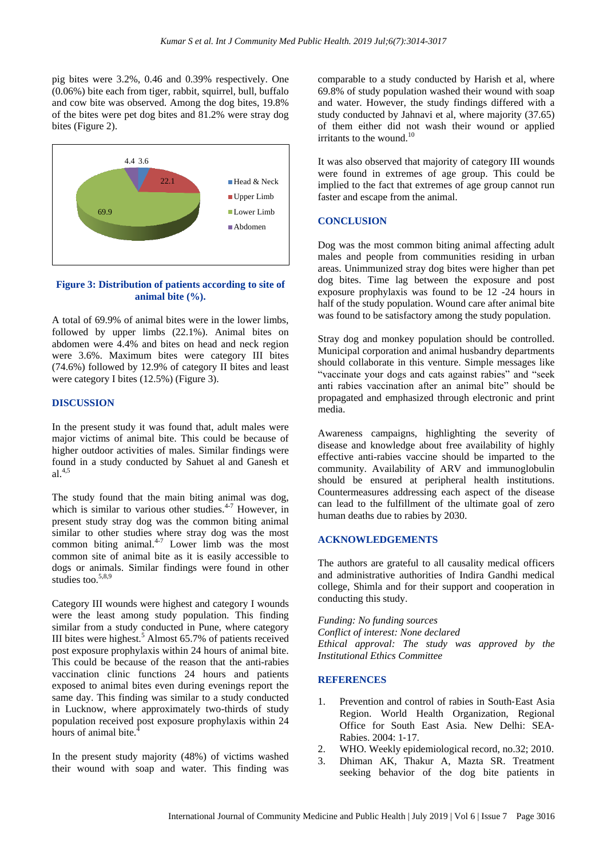pig bites were 3.2%, 0.46 and 0.39% respectively. One (0.06%) bite each from tiger, rabbit, squirrel, bull, buffalo and cow bite was observed. Among the dog bites, 19.8% of the bites were pet dog bites and 81.2% were stray dog bites (Figure 2).



# **Figure 3: Distribution of patients according to site of animal bite (%).**

A total of 69.9% of animal bites were in the lower limbs, followed by upper limbs (22.1%). Animal bites on abdomen were 4.4% and bites on head and neck region were 3.6%. Maximum bites were category III bites (74.6%) followed by 12.9% of category II bites and least were category I bites (12.5%) (Figure 3).

#### **DISCUSSION**

In the present study it was found that, adult males were major victims of animal bite. This could be because of higher outdoor activities of males. Similar findings were found in a study conducted by Sahuet al and Ganesh et  $a^{1,4,5}$ 

The study found that the main biting animal was dog, which is similar to various other studies. $4.7$  However, in present study stray dog was the common biting animal similar to other studies where stray dog was the most common biting animal. $4-7$  Lower limb was the most common site of animal bite as it is easily accessible to dogs or animals. Similar findings were found in other studies too.<sup>5,8,9</sup>

Category III wounds were highest and category I wounds were the least among study population. This finding similar from a study conducted in Pune, where category III bites were highest.<sup>5</sup> Almost  $65.7\%$  of patients received post exposure prophylaxis within 24 hours of animal bite. This could be because of the reason that the anti-rabies vaccination clinic functions 24 hours and patients exposed to animal bites even during evenings report the same day. This finding was similar to a study conducted in Lucknow, where approximately two-thirds of study population received post exposure prophylaxis within 24 hours of animal bite.<sup>4</sup>

In the present study majority (48%) of victims washed their wound with soap and water. This finding was

comparable to a study conducted by Harish et al, where 69.8% of study population washed their wound with soap and water. However, the study findings differed with a study conducted by Jahnavi et al, where majority (37.65) of them either did not wash their wound or applied irritants to the wound. $10$ 

It was also observed that majority of category III wounds were found in extremes of age group. This could be implied to the fact that extremes of age group cannot run faster and escape from the animal.

#### **CONCLUSION**

Dog was the most common biting animal affecting adult males and people from communities residing in urban areas. Unimmunized stray dog bites were higher than pet dog bites. Time lag between the exposure and post exposure prophylaxis was found to be 12 -24 hours in half of the study population. Wound care after animal bite was found to be satisfactory among the study population.

Stray dog and monkey population should be controlled. Municipal corporation and animal husbandry departments should collaborate in this venture. Simple messages like "vaccinate your dogs and cats against rabies" and "seek anti rabies vaccination after an animal bite" should be propagated and emphasized through electronic and print media.

Awareness campaigns, highlighting the severity of disease and knowledge about free availability of highly effective anti-rabies vaccine should be imparted to the community. Availability of ARV and immunoglobulin should be ensured at peripheral health institutions. Countermeasures addressing each aspect of the disease can lead to the fulfillment of the ultimate goal of zero human deaths due to rabies by 2030.

## **ACKNOWLEDGEMENTS**

The authors are grateful to all causality medical officers and administrative authorities of Indira Gandhi medical college, Shimla and for their support and cooperation in conducting this study.

*Funding: No funding sources Conflict of interest: None declared Ethical approval: The study was approved by the Institutional Ethics Committee*

# **REFERENCES**

- 1. Prevention and control of rabies in South‐East Asia Region. World Health Organization, Regional Office for South East Asia. New Delhi: SEA‐ Rabies. 2004: 1‐17.
- 2. WHO. Weekly epidemiological record, no.32; 2010.
- 3. Dhiman AK, Thakur A, Mazta SR. Treatment seeking behavior of the dog bite patients in